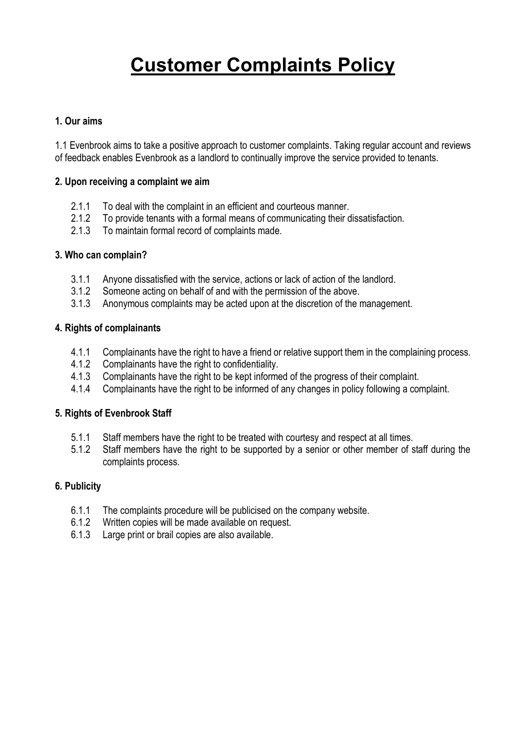# **Customer Complaints Policy**

#### **1. Our aims**

1.1 Evenbrook aims to take a positive approach to customer complaints. Taking regular account and reviews of feedback enables Evenbrook as a landlord to continually improve the service provided to tenants.

#### **2. Upon receiving a complaint we aim**

- 2.1.1 To deal with the complaint in an efficient and courteous manner.
- 2.1.2 To provide tenants with a formal means of communicating their dissatisfaction.
- 2.1.3 To maintain formal record of complaints made.

#### **3. Who can complain?**

- 3.1.1 Anyone dissatisfied with the service, actions or lack of action of the landlord.
- 3.1.2 Someone acting on behalf of and with the permission of the above.
- 3.1.3 Anonymous complaints may be acted upon at the discretion of the management.

#### **4. Rights of complainants**

- 4.1.1 Complainants have the right to have a friend or relative support them in the complaining process.<br>4.1.2 Complainants have the right to confidentiality
- Complainants have the right to confidentiality.
- 4.1.3 Complainants have the right to be kept informed of the progress of their complaint.
- 4.1.4 Complainants have the right to be informed of any changes in policy following a complaint.

#### **5. Rights of Evenbrook Staff**

- 5.1.1 Staff members have the right to be treated with courtesy and respect at all times.
- 5.1.2 Staff members have the right to be supported by a senior or other member of staff during the complaints process.

#### **6. Publicity**

- 6.1.1 The complaints procedure will be publicised on the company website.
- 6.1.2 Written copies will be made available on request.
- 6.1.3 Large print or brail copies are also available.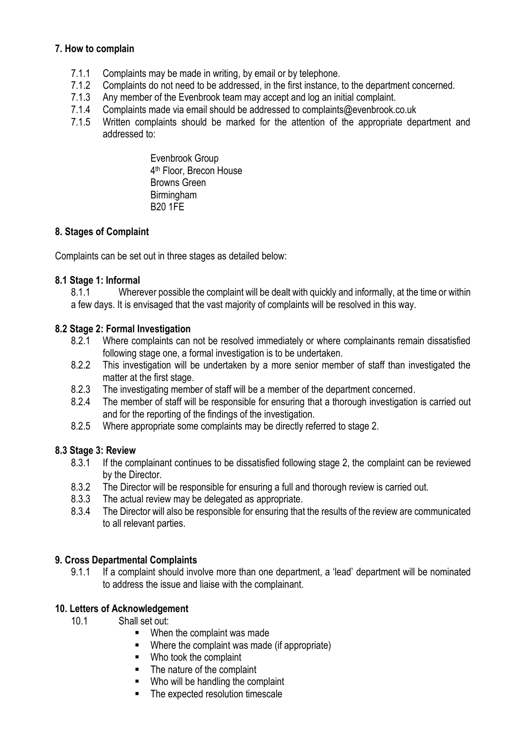# **7. How to complain**

- 7.1.1 Complaints may be made in writing, by email or by telephone.
- 7.1.2 Complaints do not need to be addressed, in the first instance, to the department concerned.
- 7.1.3 Any member of the Evenbrook team may accept and log an initial complaint.
- 7.1.4 Complaints made via email should be addressed to complaints@evenbrook.co.uk
- 7.1.5 Written complaints should be marked for the attention of the appropriate department and addressed to:

Evenbrook Group 4 th Floor, Brecon House Browns Green Birmingham B20 1FE

# **8. Stages of Complaint**

Complaints can be set out in three stages as detailed below:

#### **8.1 Stage 1: Informal**

8.1.1 Wherever possible the complaint will be dealt with quickly and informally, at the time or within a few days. It is envisaged that the vast majority of complaints will be resolved in this way.

#### **8.2 Stage 2: Formal Investigation**

- 8.2.1 Where complaints can not be resolved immediately or where complainants remain dissatisfied following stage one, a formal investigation is to be undertaken.
- 8.2.2 This investigation will be undertaken by a more senior member of staff than investigated the matter at the first stage.
- 8.2.3 The investigating member of staff will be a member of the department concerned.
- 8.2.4 The member of staff will be responsible for ensuring that a thorough investigation is carried out and for the reporting of the findings of the investigation.
- 8.2.5 Where appropriate some complaints may be directly referred to stage 2.

#### **8.3 Stage 3: Review**

- 8.3.1 If the complainant continues to be dissatisfied following stage 2, the complaint can be reviewed by the Director.
- 8.3.2 The Director will be responsible for ensuring a full and thorough review is carried out.
- 8.3.3 The actual review may be delegated as appropriate.
- 8.3.4 The Director will also be responsible for ensuring that the results of the review are communicated to all relevant parties.

#### **9. Cross Departmental Complaints**

9.1.1 If a complaint should involve more than one department, a 'lead' department will be nominated to address the issue and liaise with the complainant.

#### **10. Letters of Acknowledgement**

- 10.1 Shall set out:
	- When the complaint was made
	- Where the complaint was made (if appropriate)
	- Who took the complaint
	- The nature of the complaint
	- Who will be handling the complaint
	- The expected resolution timescale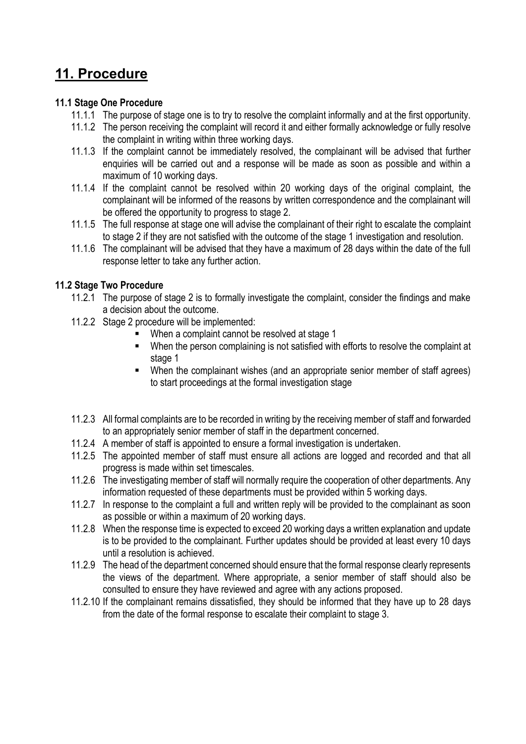# **11. Procedure**

# **11.1 Stage One Procedure**

- 11.1.1 The purpose of stage one is to try to resolve the complaint informally and at the first opportunity.
- 11.1.2 The person receiving the complaint will record it and either formally acknowledge or fully resolve the complaint in writing within three working days.
- 11.1.3 If the complaint cannot be immediately resolved, the complainant will be advised that further enquiries will be carried out and a response will be made as soon as possible and within a maximum of 10 working days.
- 11.1.4 If the complaint cannot be resolved within 20 working days of the original complaint, the complainant will be informed of the reasons by written correspondence and the complainant will be offered the opportunity to progress to stage 2.
- 11.1.5 The full response at stage one will advise the complainant of their right to escalate the complaint to stage 2 if they are not satisfied with the outcome of the stage 1 investigation and resolution.
- 11.1.6 The complainant will be advised that they have a maximum of 28 days within the date of the full response letter to take any further action.

# **11.2 Stage Two Procedure**

- 11.2.1 The purpose of stage 2 is to formally investigate the complaint, consider the findings and make a decision about the outcome.
- 11.2.2 Stage 2 procedure will be implemented:
	- When a complaint cannot be resolved at stage 1
	- When the person complaining is not satisfied with efforts to resolve the complaint at stage 1
	- When the complainant wishes (and an appropriate senior member of staff agrees) to start proceedings at the formal investigation stage
- 11.2.3 All formal complaints are to be recorded in writing by the receiving member of staff and forwarded to an appropriately senior member of staff in the department concerned.
- 11.2.4 A member of staff is appointed to ensure a formal investigation is undertaken.
- 11.2.5 The appointed member of staff must ensure all actions are logged and recorded and that all progress is made within set timescales.
- 11.2.6 The investigating member of staff will normally require the cooperation of other departments. Any information requested of these departments must be provided within 5 working days.
- 11.2.7 In response to the complaint a full and written reply will be provided to the complainant as soon as possible or within a maximum of 20 working days.
- 11.2.8 When the response time is expected to exceed 20 working days a written explanation and update is to be provided to the complainant. Further updates should be provided at least every 10 days until a resolution is achieved.
- 11.2.9 The head of the department concerned should ensure that the formal response clearly represents the views of the department. Where appropriate, a senior member of staff should also be consulted to ensure they have reviewed and agree with any actions proposed.
- 11.2.10 If the complainant remains dissatisfied, they should be informed that they have up to 28 days from the date of the formal response to escalate their complaint to stage 3.